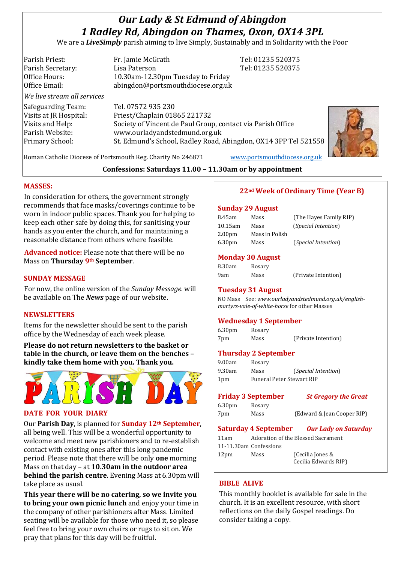# *Our Lady & St Edmund of Abingdon 1 Radley Rd, Abingdon on Thames, Oxon, OX14 3PL*

We are a *LiveSimply* parish aiming to live Simply, Sustainably and in Solidarity with the Poor

Parish Priest: Fr. Jamie McGrath Tel: 01235 520375 Parish Secretary: Tel: 01235 520375 Office Hours: 10.30am-12.30pm Tuesday to Friday Office Email: abingdon@portsmouthdiocese.org.uk *We live stream all services* Safeguarding Team: Tel. 07572 935 230 Visits at JR Hospital: Priest/Chaplain 01865 221732 Visits and Help: Society of Vincent de Paul Group, contact via Parish Office Parish Website: www.ourladyandstedmund.org.uk Primary School: St. Edmund's School, Radley Road, Abingdon, OX14 3PP Tel 521558



Roman Catholic Diocese of Portsmouth Reg. Charity No 246871 [www.portsmouthdiocese.org.uk](http://www.portsmouthdiocese.org.uk/)

# **Confessions: Saturdays 11.00 – 11.30am or by appointment**

## **MASSES:**

In consideration for others, the government strongly recommends that face masks/coverings continue to be worn in indoor public spaces. Thank you for helping to keep each other safe by doing this, for sanitising your hands as you enter the church, and for maintaining a reasonable distance from others where feasible.

**Advanced notice:** Please note that there will be no Mass on **Thursday 9th September**.

#### **SUNDAY MESSAGE**

For now, the online version of the *Sunday Message*. will be available on The *News* page of our website.

## **NEWSLETTERS**

Items for the newsletter should be sent to the parish office by the Wednesday of each week please.

**Please do not return newsletters to the basket or table in the church, or leave them on the benches – kindly take them home with you. Thank you.**



## **DATE FOR YOUR DIARY**

Our **Parish Day**, is planned for **Sunday 12th September**, all being well. This will be a wonderful opportunity to welcome and meet new parishioners and to re-establish contact with existing ones after this long pandemic period. Please note that there will be only **one** morning Mass on that day – at **10.30am in the outdoor area behind the parish centre**. Evening Mass at 6.30pm will take place as usual.

**This year there will be no catering, so we invite you to bring your own picnic lunch** and enjoy your time in the company of other parishioners after Mass. Limited seating will be available for those who need it, so please feel free to bring your own chairs or rugs to sit on. We pray that plans for this day will be fruitful.

## **22nd Week of Ordinary Time (Year B)**

#### **Sunday 29 August**

| 8.45am             | Mass           | (The Hayes Family RIP)     |
|--------------------|----------------|----------------------------|
| $10.15$ am         | Mass           | (Special Intention)        |
| 2.00 <sub>pm</sub> | Mass in Polish |                            |
| 6.30 <sub>pm</sub> | Mass           | <i>(Special Intention)</i> |
|                    |                |                            |

## **Monday 30 August**

| 8.30am | Rosary |                     |
|--------|--------|---------------------|
| 9am    | Mass   | (Private Intention) |

## **Tuesday 31 August**

NO Mass See: *www.ourladyandstedmund.org.uk/englishmartyrs-vale-of-white-horse* for other Masses

## **Wednesday 1 September**

6.30pm Rosary 7pm Mass (Private Intention)

# **Thursday 2 September**

9.00am Rosary 9.30am Mass (*Special Intention*) 1pm Funeral Peter Stewart RIP

## **Friday 3 September** *St Gregory the Great*

6.30pm Rosary

7pm Mass (Edward & Jean Cooper RIP)

# **Saturday 4 September** *Our Lady on Saturday*

11am Adoration of the Blessed Sacrament 11-11.30am Confessions 12pm Mass (Cecilia Jones & Cecilia Edwards RIP)

## **BIBLE ALIVE**

This monthly booklet is available for sale in the church. It is an excellent resource, with short reflections on the daily Gospel readings. Do consider taking a copy.